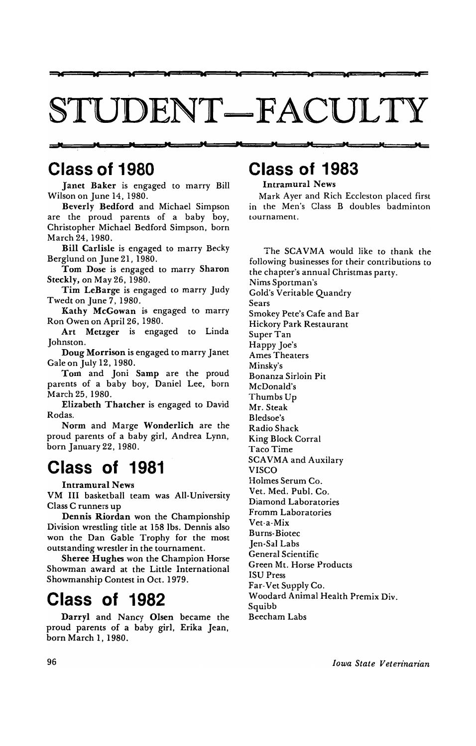# STUDENT-FACULTY

w as w w w as ac w ..

### Class of 1980

Janet Baker is engaged to marry Bill Wilson on June 14, 1980.

Beverly Bedford and Michael Simpson are the proud parents of a baby boy, Christopher Michael Bedford Simpson. born March 24, 1980.

Bill Carlisle is engaged to marry Becky Berglund on June 21. 1980.

Tom Dose is engaged to marry Sharon Steckly, on May 26. 1980.

Tim LeBarge is engaged to marry Judy Twedt on June 7. 1980.

Kathy McGowan is engaged to marry Ron Owen on April 26, 1980.

Art Metzger is engaged to Linda Johnston.

Doug Morrison is engaged to marry Janet Gale on July 12. 1980.

Tom and Joni Samp are the proud parents of a baby boy. Daniel Lee, born March 25,1980.

Elizabeth Thatcher is engaged to David Rodas.

Norm and Marge Wonderlich are the proud parents of a baby girl, Andrea Lynn, born January 22, 1980.

## Class of 1981

Intramural News

VM III basketball team was All-University Class C runners up

Dennis Riordan won the Championship Division wrestling title at 158 lbs. Dennis also won the Dan Gable Trophy for the most outstanding wrestler in the tournament.

Sheree Hughes won the Champion Horse Showman award at the Little International Showmanship Contest in Oct. 1979.

### Class of 1982

Darryl and Nancy Olsen became the proud parents of a baby girl, Erika Jean, born March I, 1980.

## " p<mark>lanet a Planet a Planet a Planet a Planet a Planet a Planet a Planet a Planet a Planet a Planet a Planet a Planet a Planet a Planet a Planet a Planet a Planet a Planet a Planet a Planet a Planet a Planet a Planet a Pla</mark> Class of 1983

Intramural News

Mark Ayer and Rich Eccleston placed first in the Men's Class B doubles badminton tournament.

The SCAVMA would like to thank the following businesses for their contributions to the chapter's annual Christmas party. Nims Sportman's Gold's Veritable Quandry Sears Smokey Pete's Cafe and Bar Hickory Park Restaurant Super Tan Happy Joe's Ames Theaters Minsky's Bonanza Sirloin Pit McDonald's Thumbs Up Mr. Steak Bledsoe's Radio Shack King Block Corral Taco Time SCAVMA and Auxilary VISCO Holmes Serum Co. Vet. Med. Pub!. Co. Diamond Laboratories Fromm Laboratories Vet-a-Mix Burns-Biotec Jen-Sal Labs General Scientific Green Mt. Horse Products ISU Press Far-Vet Supply Co. Woodard Animal Health Premix Div. Squibb Beecham Labs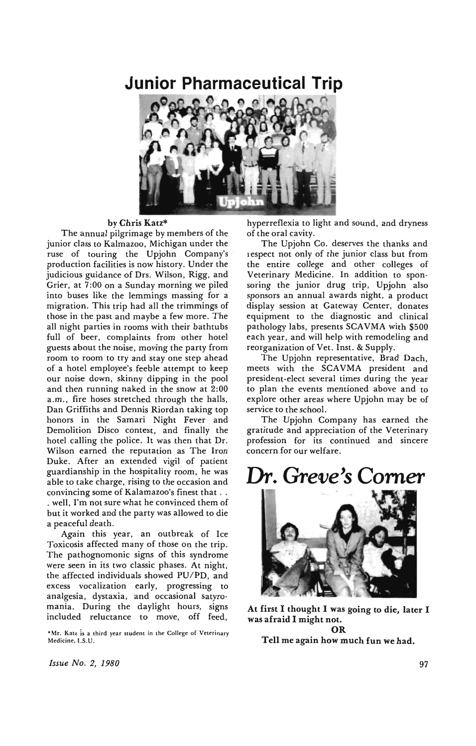### **Junior Pharmaceutical Trip**



#### by Chris Katz\*

The annual pilgrimage by members of the junior class to Kalmazoo. Michigan under the ruse of touring the Upjohn Company's production facilities is now history. Under the judicious guidance of Drs. Wilson, Rigg, and Grier. at 7:00 on a Sunday morning we piled into buses like the lemmings massing for a migration. This trip had all the trimmings of those in the past and maybe a few more. The all night parties in rooms with their bathtubs full of beer. complaints from other hotel guests about the noise. moving the party from room to room to try and stay one step ahead of a hotel employee's feeble attempt to keep our noise down. skinny dipping in the pool and then running naked in the snow at 2:00 a.m., fire hoses stretched through the halls, Dan Griffiths and Dennis Riordan taking top honors in the Samari Night Fever and Demolition Disco contest, and finally the hotel calling the police. It was then that Dr. Wilson earned the reputation as The Iron Duke. After an extended vigil of patient guardianship in the hospitality room. he was able to take charge. rising to the occasion and convincing some of Kalamazoo's finest that . . . well. I'm not sure what he convinced them of but it worked and the party was allowed to die a peaceful death.

Again this year, an outbreak of Ice Toxicosis affected many of those on the trip. The pathognomonic signs of this syndrome were seen in its two classic phases. At night. the affected individuals showed PU/PD. and excess vocalization early. progressing to analgesia. dystaxia. and occasional satyro· mania. During the daylight hours. signs included reluctance to move, off feed,

• Mr. Katz is a third year student in the College of Veterinary Medicine, I.S.U.

hyperreflexia to light and sound. and dryness of the oral cavity.

The Upjohn Co. deserves the thanks and respect not only of the junior class but from the entire college and other colleges of Veterinary Medicine. In addition to spon· soring the junior drug trip. Upjohn also sponsors an annual awards night. a product display session at Gateway Center. donates equipment to the diagnostic and clinical pathology labs, presents SCAVMA with \$500 each year. and will help with remodeling and reorganization of Vet. Inst. & Supply.

The Upjohn representative. Brad Dach. meets with the SCAVMA president and president-elect several times during the year to plan the events mentioned above and to explore other areas where Upjohn may be of service to the school.

The Upjohn Company has earned the gratitude and appreciation of the Veterinary profession for its continued and sincere concern for our welfare.

## **Dr.** *Greve's* **Comer**



At first I thought I was going to die, later I was afraid I might not. OR

Tell me again how much fun we had.

*Issue No. 2. 1980*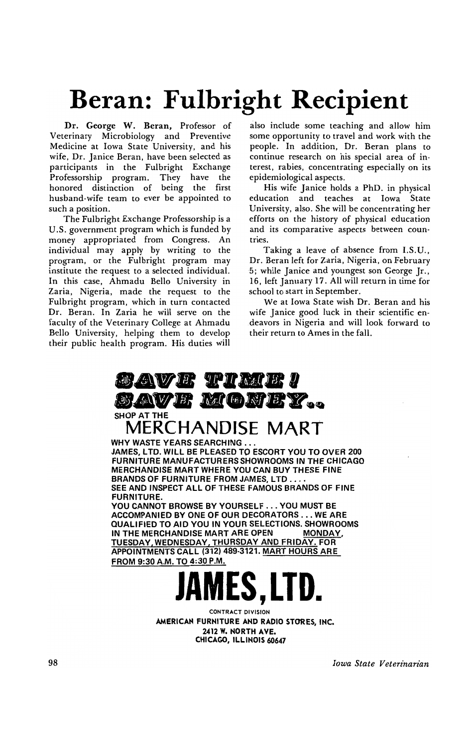# **Beran: Fulbright Recipient**

Dr. George W. Beran, Professor of Veterinary Microbiology and Preventive Medicine at Iowa State University, and his wife, Dr. Janice Beran, have been selected as participants in the Fulbright Exchange Professorship program. They have the honored distinction of being the first husband-wife team to ever be appointed to such a position.

The Fulbright Exchange Professorship is a U.S. government program which is funded by money appropriated from Congress. An individual may apply by writing to the program, or the Fulbright program may institute the request to a selected individual. In this case, Ahmadu Bello University in Zaria, Nigeria, made the request to the Fulbright program, which in turn contacted Dr. Beran. In Zaria he will serve on the faculty of the Veterinary College at Ahmadu Bello University, helping them to develop their public health program. His duties will

also include some teaching and allow him some opportunity to travel and work with the people. In addition, Dr. Beran plans to continue research on his special area of interest, rabies, concentrating especially on its epidemiological aspects.

His wife Janice holds a PhD. in physical education and teaches at Iowa State University. also. She will be concentrating her efforts on the history of physical education and its comparative aspects between countries.

Taking a leave of absence from I.S.U., Dr. Beran left for Zaria. Nigeria, on February 5; while Janice and youngest son George Jr.. 16. left January 17. All will return in time for school to start in September.

We at Iowa State wish Dr. Beran and his wife Janice good luck in their scientific en- .deavors in Nigeria and will look forward to their return to Ames in the fall.



WHY WASTE YEARS SEARCHING.

JAMES, LTD. WILL BE PLEASED TO ESCORT you TO OVER 200 FURNITURE MANUFACTURERS SHOWROOMS IN THE CHICAGO MERCHANDISE MART WHERE YOU CAN BUY THESE FINE BRANDS OF FURNITURE FROM JAMES, LTD ... SEE AND INSPECT ALL OF THESE FAMOUS BRANDS OF FINE FURNITURE.

YOU CANNOT BROWSE BY YOURSELF . . . YOU MUST BE ACCOMPANIED BY ONE OF OUR DECORATORS .•. WE ARE QUALIFIED TO AID YOU IN YOUR SELECTIONS. SHOWROOMS IN THE MERCHANDISE MART ARE OPEN MONDAY. TUESDAY. WEDNESDAY. THURSDAY AND FRIDAY. FOR APPOINTMENTS CALL (312) 489-3121. MART HOURS ARE FROM 9:30 A.M. TO 4:30 P.M.

# **JAMES,LTD.**

CONTRACT DIVISION AMERICAN FURNITURE AND RADIO STORES, INC. 2412 W. NORTH AVE. CHICAGO, ILLINOIS 60647